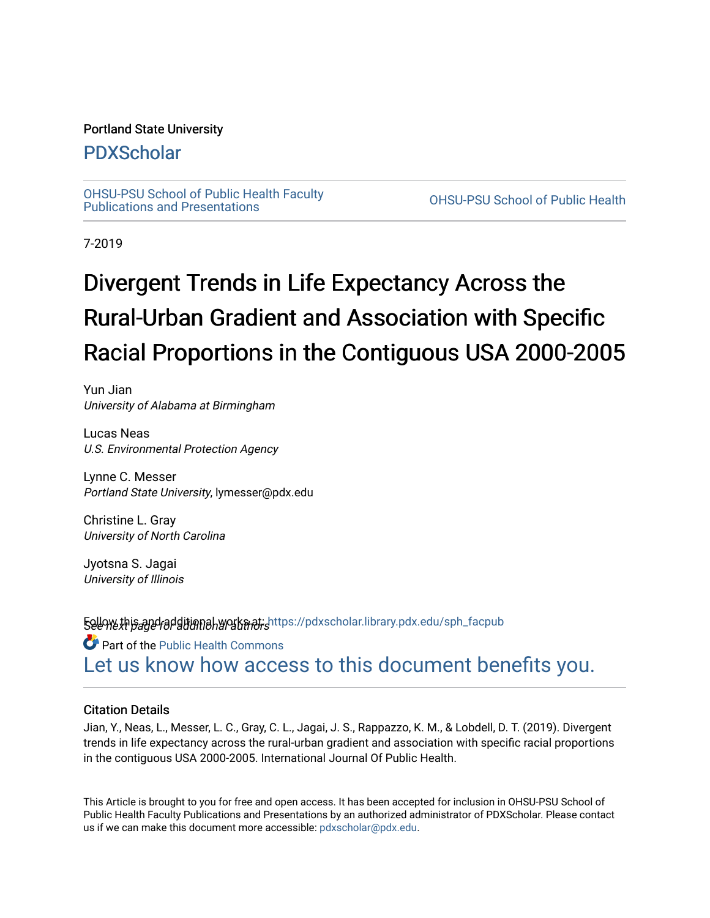## Portland State University

# [PDXScholar](https://pdxscholar.library.pdx.edu/)

[OHSU-PSU School of Public Health Faculty](https://pdxscholar.library.pdx.edu/sph_facpub) [Publications and Presentations](https://pdxscholar.library.pdx.edu/sph_facpub) [OHSU-PSU School of Public Health](https://pdxscholar.library.pdx.edu/sph) 

7-2019

# Divergent Trends in Life Expectancy Across the Rural-Urban Gradient and Association with Specific Racial Proportions in the Contiguous USA 2000-2005

Yun Jian University of Alabama at Birmingham

Lucas Neas U.S. Environmental Protection Agency

Lynne C. Messer Portland State University, lymesser@pdx.edu

Christine L. Gray University of North Carolina

Jyotsna S. Jagai University of Illinois

**Follow this and additional works at: h**ttps://pdxscholar.library.pdx.edu/sph\_facpub<br>**See we***xt page for* **ditional works at:** 

Part of the [Public Health Commons](http://network.bepress.com/hgg/discipline/738?utm_source=pdxscholar.library.pdx.edu%2Fsph_facpub%2F251&utm_medium=PDF&utm_campaign=PDFCoverPages)  [Let us know how access to this document benefits you.](http://library.pdx.edu/services/pdxscholar-services/pdxscholar-feedback/?ref=https://pdxscholar.library.pdx.edu/sph_facpub/251) 

### Citation Details

Jian, Y., Neas, L., Messer, L. C., Gray, C. L., Jagai, J. S., Rappazzo, K. M., & Lobdell, D. T. (2019). Divergent trends in life expectancy across the rural-urban gradient and association with specific racial proportions in the contiguous USA 2000-2005. International Journal Of Public Health.

This Article is brought to you for free and open access. It has been accepted for inclusion in OHSU-PSU School of Public Health Faculty Publications and Presentations by an authorized administrator of PDXScholar. Please contact us if we can make this document more accessible: [pdxscholar@pdx.edu.](mailto:pdxscholar@pdx.edu)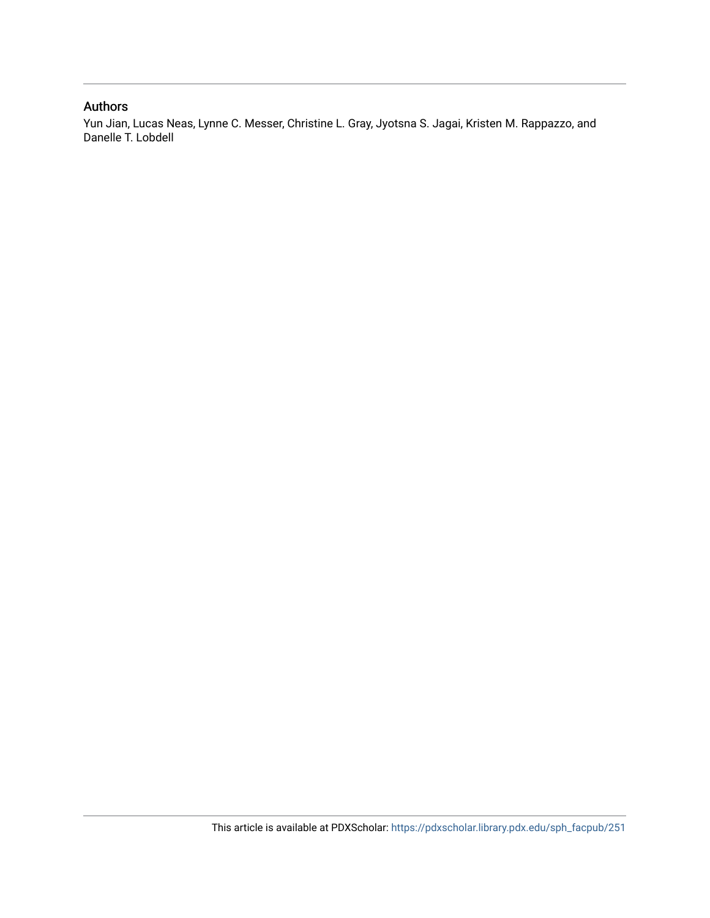# Authors

Yun Jian, Lucas Neas, Lynne C. Messer, Christine L. Gray, Jyotsna S. Jagai, Kristen M. Rappazzo, and Danelle T. Lobdell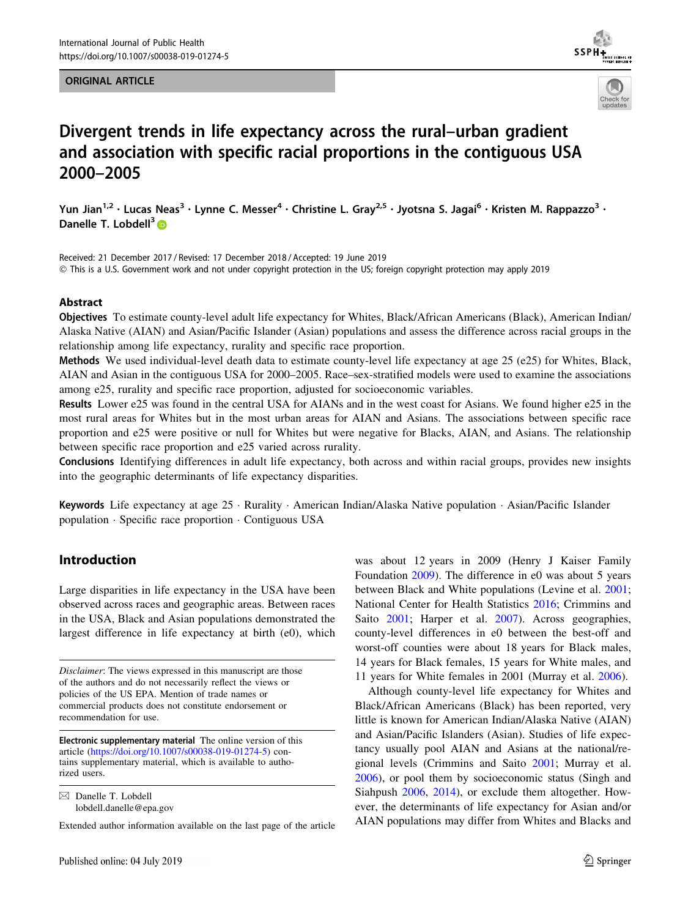#### ORIGINAL ARTICLE





# Divergent trends in life expectancy across the rural–urban gradient and association with specific racial proportions in the contiguous USA 2000–2005

Yun Jian<sup>1,2</sup> • Lucas Neas<sup>3</sup> • Lynne C. Messer<sup>4</sup> • Christine L. Gray<sup>2,5</sup> • Jyotsna S. Jagai<sup>6</sup> • Kristen M. Rappazzo<sup>3</sup> • Danelle T. Lobdell $3\blacksquare$ 

Received: 21 December 2017 / Revised: 17 December 2018 / Accepted: 19 June 2019  $\odot$  This is a U.S. Government work and not under copyright protection in the US; foreign copyright protection may apply 2019

#### Abstract

Objectives To estimate county-level adult life expectancy for Whites, Black/African Americans (Black), American Indian/ Alaska Native (AIAN) and Asian/Pacific Islander (Asian) populations and assess the difference across racial groups in the relationship among life expectancy, rurality and specific race proportion.

Methods We used individual-level death data to estimate county-level life expectancy at age 25 (e25) for Whites, Black, AIAN and Asian in the contiguous USA for 2000–2005. Race–sex-stratified models were used to examine the associations among e25, rurality and specific race proportion, adjusted for socioeconomic variables.

Results Lower e25 was found in the central USA for AIANs and in the west coast for Asians. We found higher e25 in the most rural areas for Whites but in the most urban areas for AIAN and Asians. The associations between specific race proportion and e25 were positive or null for Whites but were negative for Blacks, AIAN, and Asians. The relationship between specific race proportion and e25 varied across rurality.

Conclusions Identifying differences in adult life expectancy, both across and within racial groups, provides new insights into the geographic determinants of life expectancy disparities.

Keywords Life expectancy at age 25 · Rurality · American Indian/Alaska Native population · Asian/Pacific Islander population - Specific race proportion - Contiguous USA

#### Introduction

Large disparities in life expectancy in the USA have been observed across races and geographic areas. Between races in the USA, Black and Asian populations demonstrated the largest difference in life expectancy at birth (e0), which

Disclaimer: The views expressed in this manuscript are those of the authors and do not necessarily reflect the views or policies of the US EPA. Mention of trade names or commercial products does not constitute endorsement or recommendation for use.

Electronic supplementary material The online version of this article [\(https://doi.org/10.1007/s00038-019-01274-5](https://doi.org/10.1007/s00038-019-01274-5)) contains supplementary material, which is available to authorized users.

 $\boxtimes$  Danelle T. Lobdell lobdell.danelle@epa.gov

Extended author information available on the last page of the article

was about 12 years in 2009 (Henry J Kaiser Family Foundation [2009\)](#page-9-0). The difference in e0 was about 5 years between Black and White populations (Levine et al. [2001](#page-9-0); National Center for Health Statistics [2016;](#page-9-0) Crimmins and Saito [2001](#page-8-0); Harper et al. [2007\)](#page-9-0). Across geographies, county-level differences in e0 between the best-off and worst-off counties were about 18 years for Black males, 14 years for Black females, 15 years for White males, and 11 years for White females in 2001 (Murray et al. [2006\)](#page-9-0).

Although county-level life expectancy for Whites and Black/African Americans (Black) has been reported, very little is known for American Indian/Alaska Native (AIAN) and Asian/Pacific Islanders (Asian). Studies of life expectancy usually pool AIAN and Asians at the national/regional levels (Crimmins and Saito [2001;](#page-8-0) Murray et al. [2006](#page-9-0)), or pool them by socioeconomic status (Singh and Siahpush [2006,](#page-9-0) [2014](#page-9-0)), or exclude them altogether. However, the determinants of life expectancy for Asian and/or AIAN populations may differ from Whites and Blacks and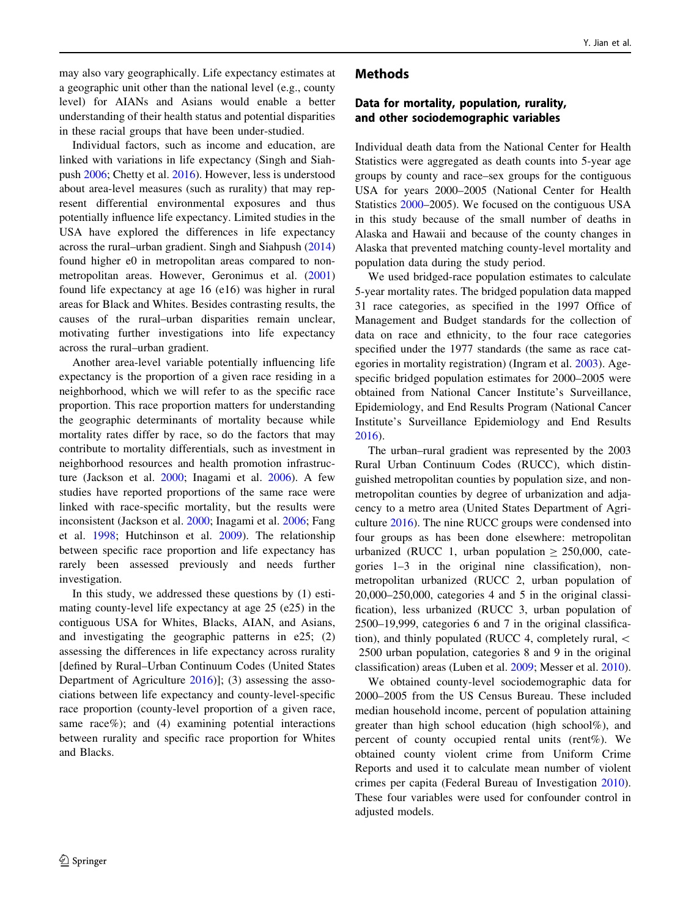may also vary geographically. Life expectancy estimates at a geographic unit other than the national level (e.g., county level) for AIANs and Asians would enable a better understanding of their health status and potential disparities in these racial groups that have been under-studied.

Individual factors, such as income and education, are linked with variations in life expectancy (Singh and Siahpush [2006](#page-9-0); Chetty et al. [2016](#page-8-0)). However, less is understood about area-level measures (such as rurality) that may represent differential environmental exposures and thus potentially influence life expectancy. Limited studies in the USA have explored the differences in life expectancy across the rural–urban gradient. Singh and Siahpush ([2014\)](#page-9-0) found higher e0 in metropolitan areas compared to nonmetropolitan areas. However, Geronimus et al. ([2001\)](#page-9-0) found life expectancy at age 16 (e16) was higher in rural areas for Black and Whites. Besides contrasting results, the causes of the rural–urban disparities remain unclear, motivating further investigations into life expectancy across the rural–urban gradient.

Another area-level variable potentially influencing life expectancy is the proportion of a given race residing in a neighborhood, which we will refer to as the specific race proportion. This race proportion matters for understanding the geographic determinants of mortality because while mortality rates differ by race, so do the factors that may contribute to mortality differentials, such as investment in neighborhood resources and health promotion infrastructure (Jackson et al. [2000;](#page-9-0) Inagami et al. [2006](#page-9-0)). A few studies have reported proportions of the same race were linked with race-specific mortality, but the results were inconsistent (Jackson et al. [2000;](#page-9-0) Inagami et al. [2006;](#page-9-0) Fang et al. [1998;](#page-9-0) Hutchinson et al. [2009\)](#page-9-0). The relationship between specific race proportion and life expectancy has rarely been assessed previously and needs further investigation.

In this study, we addressed these questions by (1) estimating county-level life expectancy at age 25 (e25) in the contiguous USA for Whites, Blacks, AIAN, and Asians, and investigating the geographic patterns in e25; (2) assessing the differences in life expectancy across rurality [defined by Rural–Urban Continuum Codes (United States Department of Agriculture [2016\)](#page-9-0)]; (3) assessing the associations between life expectancy and county-level-specific race proportion (county-level proportion of a given race, same race%); and  $(4)$  examining potential interactions between rurality and specific race proportion for Whites and Blacks.

# $\mathcal{D}$  Springer

#### Methods

#### Data for mortality, population, rurality, and other sociodemographic variables

Individual death data from the National Center for Health Statistics were aggregated as death counts into 5-year age groups by county and race–sex groups for the contiguous USA for years 2000–2005 (National Center for Health Statistics [2000](#page-9-0)–2005). We focused on the contiguous USA in this study because of the small number of deaths in Alaska and Hawaii and because of the county changes in Alaska that prevented matching county-level mortality and population data during the study period.

We used bridged-race population estimates to calculate 5-year mortality rates. The bridged population data mapped 31 race categories, as specified in the 1997 Office of Management and Budget standards for the collection of data on race and ethnicity, to the four race categories specified under the 1977 standards (the same as race categories in mortality registration) (Ingram et al. [2003\)](#page-9-0). Agespecific bridged population estimates for 2000–2005 were obtained from National Cancer Institute's Surveillance, Epidemiology, and End Results Program (National Cancer Institute's Surveillance Epidemiology and End Results [2016](#page-9-0)).

The urban–rural gradient was represented by the 2003 Rural Urban Continuum Codes (RUCC), which distinguished metropolitan counties by population size, and nonmetropolitan counties by degree of urbanization and adjacency to a metro area (United States Department of Agriculture [2016](#page-9-0)). The nine RUCC groups were condensed into four groups as has been done elsewhere: metropolitan urbanized (RUCC 1, urban population  $\geq 250,000$ , categories 1–3 in the original nine classification), nonmetropolitan urbanized (RUCC 2, urban population of 20,000–250,000, categories 4 and 5 in the original classification), less urbanized (RUCC 3, urban population of 2500–19,999, categories 6 and 7 in the original classification), and thinly populated (RUCC 4, completely rural, \ 2500 urban population, categories 8 and 9 in the original classification) areas (Luben et al. [2009](#page-9-0); Messer et al. [2010](#page-9-0)).

We obtained county-level sociodemographic data for 2000–2005 from the US Census Bureau. These included median household income, percent of population attaining greater than high school education (high school%), and percent of county occupied rental units (rent%). We obtained county violent crime from Uniform Crime Reports and used it to calculate mean number of violent crimes per capita (Federal Bureau of Investigation [2010](#page-9-0)). These four variables were used for confounder control in adjusted models.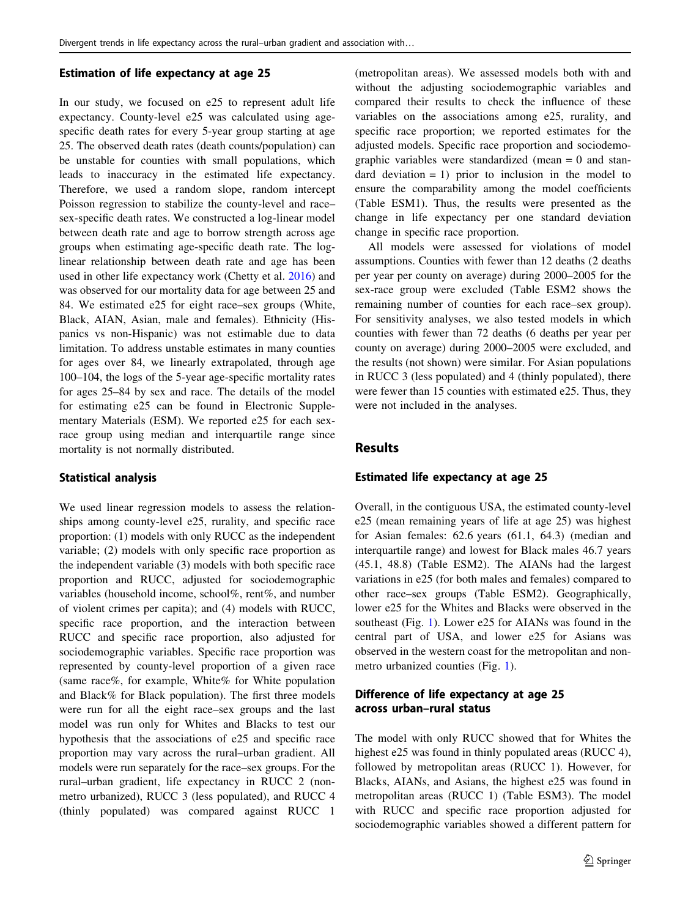#### Estimation of life expectancy at age 25

In our study, we focused on e25 to represent adult life expectancy. County-level e25 was calculated using agespecific death rates for every 5-year group starting at age 25. The observed death rates (death counts/population) can be unstable for counties with small populations, which leads to inaccuracy in the estimated life expectancy. Therefore, we used a random slope, random intercept Poisson regression to stabilize the county-level and race– sex-specific death rates. We constructed a log-linear model between death rate and age to borrow strength across age groups when estimating age-specific death rate. The loglinear relationship between death rate and age has been used in other life expectancy work (Chetty et al. [2016\)](#page-8-0) and was observed for our mortality data for age between 25 and 84. We estimated e25 for eight race–sex groups (White, Black, AIAN, Asian, male and females). Ethnicity (Hispanics vs non-Hispanic) was not estimable due to data limitation. To address unstable estimates in many counties for ages over 84, we linearly extrapolated, through age 100–104, the logs of the 5-year age-specific mortality rates for ages 25–84 by sex and race. The details of the model for estimating e25 can be found in Electronic Supplementary Materials (ESM). We reported e25 for each sexrace group using median and interquartile range since mortality is not normally distributed.

#### Statistical analysis

We used linear regression models to assess the relationships among county-level e25, rurality, and specific race proportion: (1) models with only RUCC as the independent variable; (2) models with only specific race proportion as the independent variable (3) models with both specific race proportion and RUCC, adjusted for sociodemographic variables (household income, school%, rent%, and number of violent crimes per capita); and (4) models with RUCC, specific race proportion, and the interaction between RUCC and specific race proportion, also adjusted for sociodemographic variables. Specific race proportion was represented by county-level proportion of a given race (same race%, for example, White% for White population and Black% for Black population). The first three models were run for all the eight race–sex groups and the last model was run only for Whites and Blacks to test our hypothesis that the associations of e25 and specific race proportion may vary across the rural–urban gradient. All models were run separately for the race–sex groups. For the rural–urban gradient, life expectancy in RUCC 2 (nonmetro urbanized), RUCC 3 (less populated), and RUCC 4 (thinly populated) was compared against RUCC 1

(metropolitan areas). We assessed models both with and without the adjusting sociodemographic variables and compared their results to check the influence of these variables on the associations among e25, rurality, and specific race proportion; we reported estimates for the adjusted models. Specific race proportion and sociodemographic variables were standardized (mean  $= 0$  and standard deviation  $= 1$ ) prior to inclusion in the model to ensure the comparability among the model coefficients (Table ESM1). Thus, the results were presented as the change in life expectancy per one standard deviation change in specific race proportion.

All models were assessed for violations of model assumptions. Counties with fewer than 12 deaths (2 deaths per year per county on average) during 2000–2005 for the sex-race group were excluded (Table ESM2 shows the remaining number of counties for each race–sex group). For sensitivity analyses, we also tested models in which counties with fewer than 72 deaths (6 deaths per year per county on average) during 2000–2005 were excluded, and the results (not shown) were similar. For Asian populations in RUCC 3 (less populated) and 4 (thinly populated), there were fewer than 15 counties with estimated e25. Thus, they were not included in the analyses.

# **Results**

#### Estimated life expectancy at age 25

Overall, in the contiguous USA, the estimated county-level e25 (mean remaining years of life at age 25) was highest for Asian females: 62.6 years (61.1, 64.3) (median and interquartile range) and lowest for Black males 46.7 years (45.1, 48.8) (Table ESM2). The AIANs had the largest variations in e25 (for both males and females) compared to other race–sex groups (Table ESM2). Geographically, lower e25 for the Whites and Blacks were observed in the southeast (Fig. [1\)](#page-5-0). Lower e25 for AIANs was found in the central part of USA, and lower e25 for Asians was observed in the western coast for the metropolitan and nonmetro urbanized counties (Fig. [1\)](#page-5-0).

#### Difference of life expectancy at age 25 across urban–rural status

The model with only RUCC showed that for Whites the highest e25 was found in thinly populated areas (RUCC 4), followed by metropolitan areas (RUCC 1). However, for Blacks, AIANs, and Asians, the highest e25 was found in metropolitan areas (RUCC 1) (Table ESM3). The model with RUCC and specific race proportion adjusted for sociodemographic variables showed a different pattern for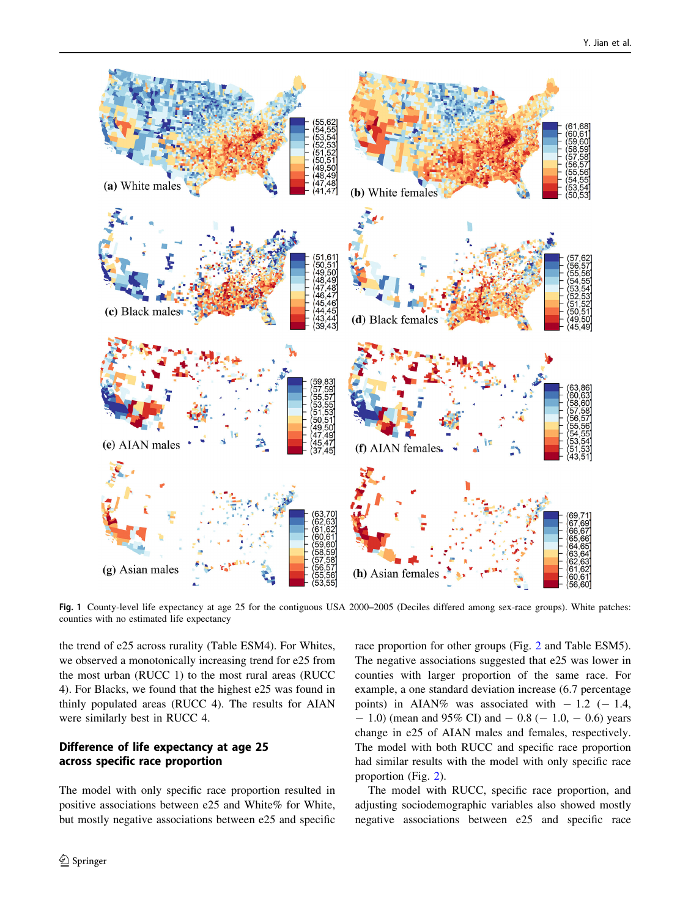<span id="page-5-0"></span>

Fig. 1 County-level life expectancy at age 25 for the contiguous USA 2000–2005 (Deciles differed among sex-race groups). White patches: counties with no estimated life expectancy

the trend of e25 across rurality (Table ESM4). For Whites, we observed a monotonically increasing trend for e25 from the most urban (RUCC 1) to the most rural areas (RUCC 4). For Blacks, we found that the highest e25 was found in thinly populated areas (RUCC 4). The results for AIAN were similarly best in RUCC 4.

#### Difference of life expectancy at age 25 across specific race proportion

The model with only specific race proportion resulted in positive associations between e25 and White% for White, but mostly negative associations between e25 and specific race proportion for other groups (Fig. [2](#page-6-0) and Table ESM5). The negative associations suggested that e25 was lower in counties with larger proportion of the same race. For example, a one standard deviation increase (6.7 percentage points) in AIAN% was associated with  $-1.2$  ( $-1.4$ ,  $- 1.0$ ) (mean and 95% CI) and  $- 0.8 (- 1.0, - 0.6)$  years change in e25 of AIAN males and females, respectively. The model with both RUCC and specific race proportion had similar results with the model with only specific race proportion (Fig. [2](#page-6-0)).

The model with RUCC, specific race proportion, and adjusting sociodemographic variables also showed mostly negative associations between e25 and specific race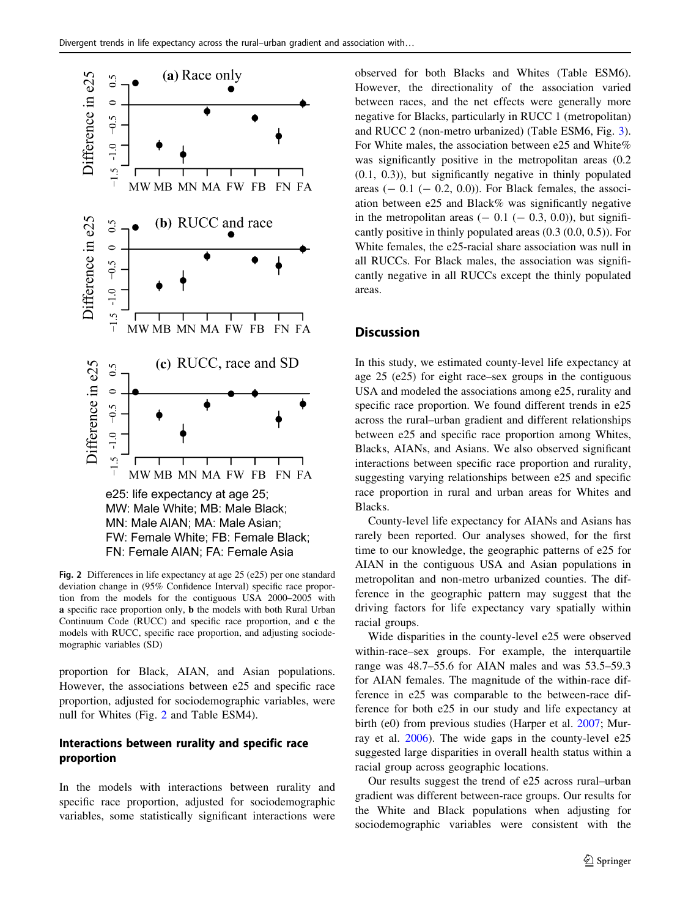<span id="page-6-0"></span>

Fig. 2 Differences in life expectancy at age 25 (e25) per one standard deviation change in (95% Confidence Interval) specific race proportion from the models for the contiguous USA 2000–2005 with a specific race proportion only, b the models with both Rural Urban Continuum Code (RUCC) and specific race proportion, and c the models with RUCC, specific race proportion, and adjusting sociodemographic variables (SD)

proportion for Black, AIAN, and Asian populations. However, the associations between e25 and specific race proportion, adjusted for sociodemographic variables, were null for Whites (Fig. 2 and Table ESM4).

#### Interactions between rurality and specific race proportion

In the models with interactions between rurality and specific race proportion, adjusted for sociodemographic variables, some statistically significant interactions were observed for both Blacks and Whites (Table ESM6). However, the directionality of the association varied between races, and the net effects were generally more negative for Blacks, particularly in RUCC 1 (metropolitan) and RUCC 2 (non-metro urbanized) (Table ESM6, Fig. [3](#page-7-0)). For White males, the association between e25 and White% was significantly positive in the metropolitan areas  $(0.2)$ (0.1, 0.3)), but significantly negative in thinly populated areas  $(-0.1 (-0.2, 0.0))$ . For Black females, the association between e25 and Black% was significantly negative in the metropolitan areas  $(-0.1 (-0.3, 0.0))$ , but significantly positive in thinly populated areas (0.3 (0.0, 0.5)). For White females, the e25-racial share association was null in all RUCCs. For Black males, the association was significantly negative in all RUCCs except the thinly populated areas.

#### **Discussion**

In this study, we estimated county-level life expectancy at age 25 (e25) for eight race–sex groups in the contiguous USA and modeled the associations among e25, rurality and specific race proportion. We found different trends in e25 across the rural–urban gradient and different relationships between e25 and specific race proportion among Whites, Blacks, AIANs, and Asians. We also observed significant interactions between specific race proportion and rurality, suggesting varying relationships between e25 and specific race proportion in rural and urban areas for Whites and Blacks.

County-level life expectancy for AIANs and Asians has rarely been reported. Our analyses showed, for the first time to our knowledge, the geographic patterns of e25 for AIAN in the contiguous USA and Asian populations in metropolitan and non-metro urbanized counties. The difference in the geographic pattern may suggest that the driving factors for life expectancy vary spatially within racial groups.

Wide disparities in the county-level e25 were observed within-race–sex groups. For example, the interquartile range was 48.7–55.6 for AIAN males and was 53.5–59.3 for AIAN females. The magnitude of the within-race difference in e25 was comparable to the between-race difference for both e25 in our study and life expectancy at birth (e0) from previous studies (Harper et al. [2007;](#page-9-0) Murray et al. [2006](#page-9-0)). The wide gaps in the county-level e25 suggested large disparities in overall health status within a racial group across geographic locations.

Our results suggest the trend of e25 across rural–urban gradient was different between-race groups. Our results for the White and Black populations when adjusting for sociodemographic variables were consistent with the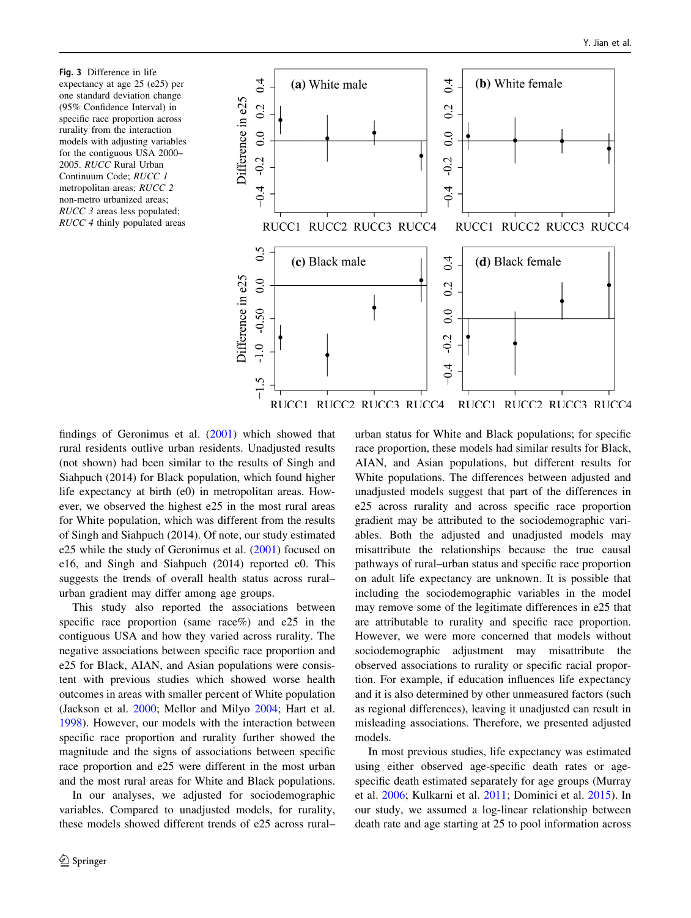<span id="page-7-0"></span>Fig. 3 Difference in life expectancy at age 25 (e25) per one standard deviation change (95% Confidence Interval) in specific race proportion across rurality from the interaction models with adjusting variables for the contiguous USA 2000– 2005. RUCC Rural Urban Continuum Code; RUCC 1 metropolitan areas; RUCC 2 non-metro urbanized areas; RUCC 3 areas less populated; RUCC 4 thinly populated areas



findings of Geronimus et al. ([2001\)](#page-9-0) which showed that rural residents outlive urban residents. Unadjusted results (not shown) had been similar to the results of Singh and Siahpuch (2014) for Black population, which found higher life expectancy at birth (e0) in metropolitan areas. However, we observed the highest e25 in the most rural areas for White population, which was different from the results of Singh and Siahpuch (2014). Of note, our study estimated e25 while the study of Geronimus et al. ([2001\)](#page-9-0) focused on e16, and Singh and Siahpuch (2014) reported e0. This suggests the trends of overall health status across rural– urban gradient may differ among age groups.

This study also reported the associations between specific race proportion (same race%) and e25 in the contiguous USA and how they varied across rurality. The negative associations between specific race proportion and e25 for Black, AIAN, and Asian populations were consistent with previous studies which showed worse health outcomes in areas with smaller percent of White population (Jackson et al. [2000;](#page-9-0) Mellor and Milyo [2004;](#page-9-0) Hart et al. [1998\)](#page-9-0). However, our models with the interaction between specific race proportion and rurality further showed the magnitude and the signs of associations between specific race proportion and e25 were different in the most urban and the most rural areas for White and Black populations.

In our analyses, we adjusted for sociodemographic variables. Compared to unadjusted models, for rurality, these models showed different trends of e25 across rural–

urban status for White and Black populations; for specific race proportion, these models had similar results for Black, AIAN, and Asian populations, but different results for White populations. The differences between adjusted and unadjusted models suggest that part of the differences in e25 across rurality and across specific race proportion gradient may be attributed to the sociodemographic variables. Both the adjusted and unadjusted models may misattribute the relationships because the true causal pathways of rural–urban status and specific race proportion on adult life expectancy are unknown. It is possible that including the sociodemographic variables in the model may remove some of the legitimate differences in e25 that are attributable to rurality and specific race proportion. However, we were more concerned that models without sociodemographic adjustment may misattribute the observed associations to rurality or specific racial proportion. For example, if education influences life expectancy and it is also determined by other unmeasured factors (such as regional differences), leaving it unadjusted can result in misleading associations. Therefore, we presented adjusted models.

In most previous studies, life expectancy was estimated using either observed age-specific death rates or agespecific death estimated separately for age groups (Murray et al. [2006](#page-9-0); Kulkarni et al. [2011](#page-9-0); Dominici et al. [2015](#page-8-0)). In our study, we assumed a log-linear relationship between death rate and age starting at 25 to pool information across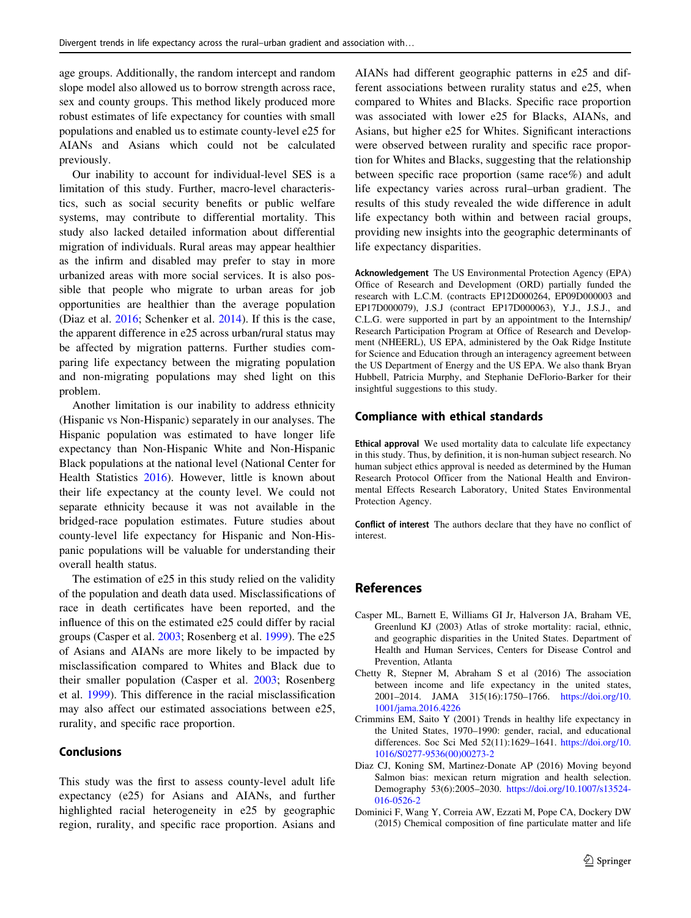<span id="page-8-0"></span>age groups. Additionally, the random intercept and random slope model also allowed us to borrow strength across race, sex and county groups. This method likely produced more robust estimates of life expectancy for counties with small populations and enabled us to estimate county-level e25 for AIANs and Asians which could not be calculated previously.

Our inability to account for individual-level SES is a limitation of this study. Further, macro-level characteristics, such as social security benefits or public welfare systems, may contribute to differential mortality. This study also lacked detailed information about differential migration of individuals. Rural areas may appear healthier as the infirm and disabled may prefer to stay in more urbanized areas with more social services. It is also possible that people who migrate to urban areas for job opportunities are healthier than the average population (Diaz et al. 2016; Schenker et al. [2014](#page-9-0)). If this is the case, the apparent difference in e25 across urban/rural status may be affected by migration patterns. Further studies comparing life expectancy between the migrating population and non-migrating populations may shed light on this problem.

Another limitation is our inability to address ethnicity (Hispanic vs Non-Hispanic) separately in our analyses. The Hispanic population was estimated to have longer life expectancy than Non-Hispanic White and Non-Hispanic Black populations at the national level (National Center for Health Statistics [2016](#page-9-0)). However, little is known about their life expectancy at the county level. We could not separate ethnicity because it was not available in the bridged-race population estimates. Future studies about county-level life expectancy for Hispanic and Non-Hispanic populations will be valuable for understanding their overall health status.

The estimation of e25 in this study relied on the validity of the population and death data used. Misclassifications of race in death certificates have been reported, and the influence of this on the estimated e25 could differ by racial groups (Casper et al. 2003; Rosenberg et al. [1999](#page-9-0)). The e25 of Asians and AIANs are more likely to be impacted by misclassification compared to Whites and Black due to their smaller population (Casper et al. 2003; Rosenberg et al. [1999\)](#page-9-0). This difference in the racial misclassification may also affect our estimated associations between e25, rurality, and specific race proportion.

#### **Conclusions**

This study was the first to assess county-level adult life expectancy (e25) for Asians and AIANs, and further highlighted racial heterogeneity in e25 by geographic region, rurality, and specific race proportion. Asians and AIANs had different geographic patterns in e25 and different associations between rurality status and e25, when compared to Whites and Blacks. Specific race proportion was associated with lower e25 for Blacks, AIANs, and Asians, but higher e25 for Whites. Significant interactions were observed between rurality and specific race proportion for Whites and Blacks, suggesting that the relationship between specific race proportion (same race%) and adult life expectancy varies across rural–urban gradient. The results of this study revealed the wide difference in adult life expectancy both within and between racial groups, providing new insights into the geographic determinants of life expectancy disparities.

Acknowledgement The US Environmental Protection Agency (EPA) Office of Research and Development (ORD) partially funded the research with L.C.M. (contracts EP12D000264, EP09D000003 and EP17D000079), J.S.J (contract EP17D000063), Y.J., J.S.J., and C.L.G. were supported in part by an appointment to the Internship/ Research Participation Program at Office of Research and Development (NHEERL), US EPA, administered by the Oak Ridge Institute for Science and Education through an interagency agreement between the US Department of Energy and the US EPA. We also thank Bryan Hubbell, Patricia Murphy, and Stephanie DeFlorio-Barker for their insightful suggestions to this study.

#### Compliance with ethical standards

Ethical approval We used mortality data to calculate life expectancy in this study. Thus, by definition, it is non-human subject research. No human subject ethics approval is needed as determined by the Human Research Protocol Officer from the National Health and Environmental Effects Research Laboratory, United States Environmental Protection Agency.

Conflict of interest The authors declare that they have no conflict of interest.

#### References

- Casper ML, Barnett E, Williams GI Jr, Halverson JA, Braham VE, Greenlund KJ (2003) Atlas of stroke mortality: racial, ethnic, and geographic disparities in the United States. Department of Health and Human Services, Centers for Disease Control and Prevention, Atlanta
- Chetty R, Stepner M, Abraham S et al (2016) The association between income and life expectancy in the united states, 2001–2014. JAMA 315(16):1750–1766. [https://doi.org/10.](https://doi.org/10.1001/jama.2016.4226) [1001/jama.2016.4226](https://doi.org/10.1001/jama.2016.4226)
- Crimmins EM, Saito Y (2001) Trends in healthy life expectancy in the United States, 1970–1990: gender, racial, and educational differences. Soc Sci Med 52(11):1629–1641. [https://doi.org/10.](https://doi.org/10.1016/S0277-9536(00)00273-2) [1016/S0277-9536\(00\)00273-2](https://doi.org/10.1016/S0277-9536(00)00273-2)
- Diaz CJ, Koning SM, Martinez-Donate AP (2016) Moving beyond Salmon bias: mexican return migration and health selection. Demography 53(6):2005–2030. [https://doi.org/10.1007/s13524-](https://doi.org/10.1007/s13524-016-0526-2) [016-0526-2](https://doi.org/10.1007/s13524-016-0526-2)
- Dominici F, Wang Y, Correia AW, Ezzati M, Pope CA, Dockery DW (2015) Chemical composition of fine particulate matter and life